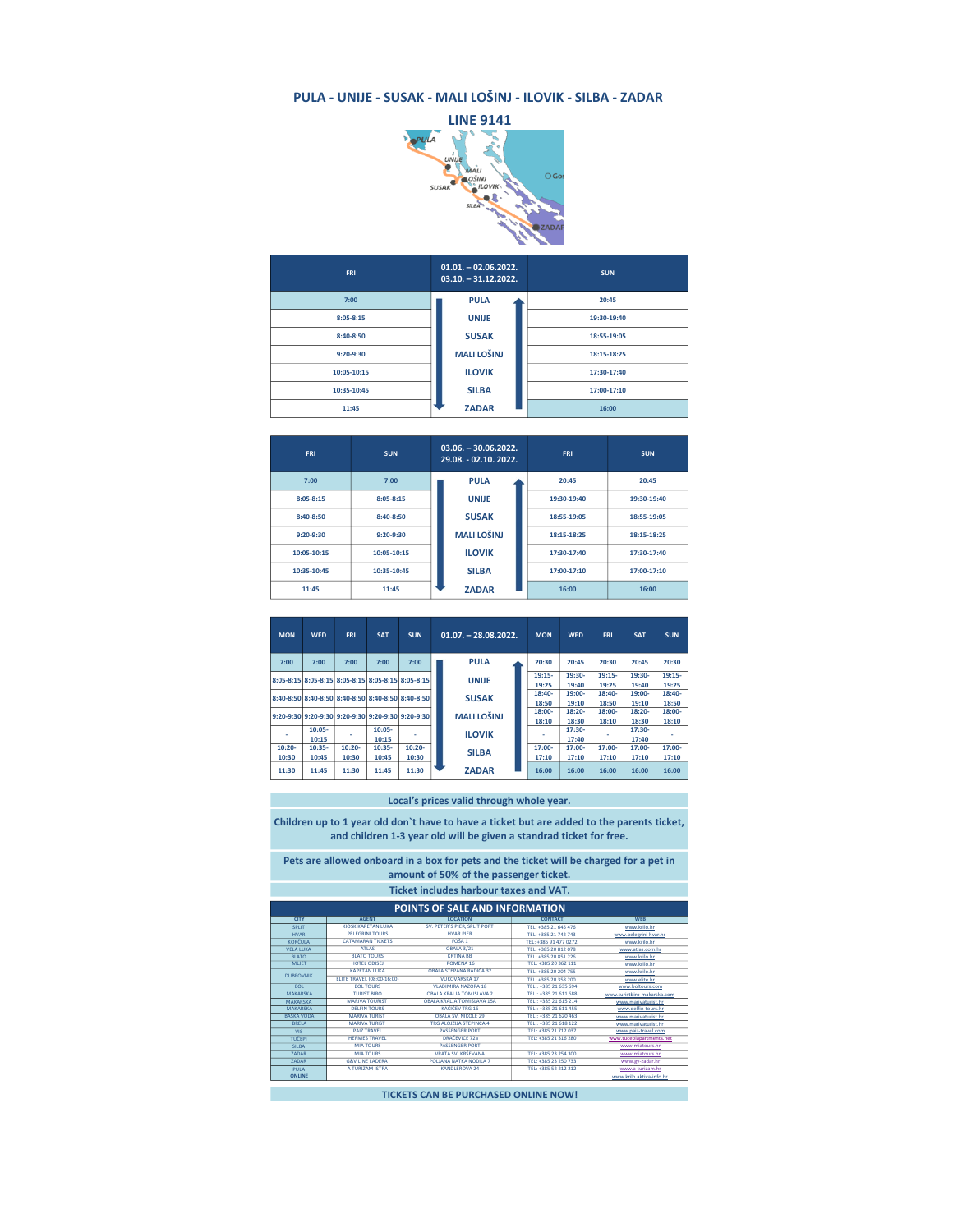## PULA - UNIJE - SUSAK - MALI LOŠINJ - ILOVIK - SILBA - ZADAR



| <b>FRI</b>    | $01.01. - 02.06.2022.$<br>$03.10. -31.12.2022.$ | <b>SUN</b>  |  |  |
|---------------|-------------------------------------------------|-------------|--|--|
| 7:00          | <b>PULA</b>                                     | 20:45       |  |  |
| $8:05 - 8:15$ | <b>UNIJE</b>                                    | 19:30-19:40 |  |  |
| 8:40-8:50     | <b>SUSAK</b>                                    | 18:55-19:05 |  |  |
| $9:20-9:30$   | <b>MALI LOŠINJ</b>                              | 18:15-18:25 |  |  |
| 10:05-10:15   | <b>ILOVIK</b>                                   | 17:30-17:40 |  |  |
| 10:35-10:45   | <b>SILBA</b>                                    | 17:00-17:10 |  |  |
| 11:45         | <b>ZADAR</b>                                    | 16:00       |  |  |

| <b>FRI</b>    | <b>SUN</b>    | $03.06. - 30.06.2022.$<br>29.08. - 02.10. 2022. | <b>FRI</b>  | <b>SUN</b>  |  |
|---------------|---------------|-------------------------------------------------|-------------|-------------|--|
| 7:00          | 7:00          | <b>PULA</b>                                     | 20:45       | 20:45       |  |
| $8:05 - 8:15$ | $8:05 - 8:15$ | <b>UNIJE</b>                                    | 19:30-19:40 | 19:30-19:40 |  |
| $8:40-8:50$   | $8:40 - 8:50$ | <b>SUSAK</b>                                    | 18:55-19:05 | 18:55-19:05 |  |
| $9:20-9:30$   | $9:20-9:30$   | <b>MALI LOŠINJ</b>                              | 18:15-18:25 | 18:15-18:25 |  |
| 10:05-10:15   | 10:05-10:15   | <b>ILOVIK</b>                                   | 17:30-17:40 | 17:30-17:40 |  |
| 10:35-10:45   | 10:35-10:45   | <b>SILBA</b>                                    | 17:00-17:10 | 17:00-17:10 |  |
| 11:45         | 11:45         | <b>ZADAR</b>                                    | 16:00       | 16:00       |  |

| <b>MON</b> | <b>WED</b>                                        | <b>FRI</b> | <b>SAT</b> | $01.07. - 28.08.2022.$<br><b>SUN</b> |               | <b>MON</b>         | <b>WED</b> | <b>FRI</b> | <b>SAT</b> | <b>SUN</b> |        |          |       |  |
|------------|---------------------------------------------------|------------|------------|--------------------------------------|---------------|--------------------|------------|------------|------------|------------|--------|----------|-------|--|
| 7:00       | 7:00                                              | 7:00       | 7:00       | 7:00                                 |               | <b>PULA</b>        |            | 20:30      | 20:45      | 20:30      | 20:45  | 20:30    |       |  |
|            | 8:05-8:15 8:05-8:15 8:05-8:15 8:05-8:15 8:05-8:15 |            |            |                                      |               | <b>UNIJE</b>       |            | $19:15-$   | 19:30-     | $19:15-$   | 19:30- | $19:15-$ |       |  |
|            |                                                   |            |            |                                      |               |                    |            | 19:25      | 19:40      | 19:25      | 19:40  | 19:25    |       |  |
|            | 8:40-8:50 8:40-8:50 8:40-8:50 8:40-8:50 8:40-8:50 |            |            |                                      | <b>SUSAK</b>  | 18:40-             | 19:00-     | 18:40-     | 19:00-     | 18:40-     |        |          |       |  |
|            |                                                   |            |            |                                      |               |                    | 18:50      | 19:10      | 18:50      | 19:10      | 18:50  |          |       |  |
|            | 9:20-9:30 9:20-9:30 9:20-9:30 9:20-9:30 9:20-9:30 |            |            |                                      |               | <b>MALI LOŠINJ</b> | 18:00-     | 18:20-     | 18:00-     | 18:20-     | 18:00- |          |       |  |
|            |                                                   |            |            |                                      |               |                    |            | 18:10      | 18:30      | 18:10      | 18:30  | 18:10    |       |  |
|            | $10:05 -$                                         |            | $10:05 -$  |                                      | <b>ILOVIK</b> |                    |            | 17:30-     |            | 17:30-     |        |          |       |  |
|            | 10:15                                             |            | 10:15      |                                      |               |                    |            |            |            |            | 17:40  |          | 17:40 |  |
| $10:20 -$  | 10:35-                                            | $10:20 -$  | 10:35-     | $10:20 -$                            |               |                    |            | 17:00-     | 17:00-     | 17:00-     | 17:00- | 17:00-   |       |  |
| 10:30      | 10:45                                             | 10:30      | 10:45      | 10:30                                |               | <b>SILBA</b>       |            | 17:10      | 17:10      | 17:10      | 17:10  | 17:10    |       |  |
| 11:30      | 11:45                                             | 11:30      | 11:45      | 11:30                                |               | <b>ZADAR</b>       |            | 16:00      | 16:00      | 16:00      | 16:00  | 16:00    |       |  |

Local's prices valid through whole year.

Children up to 1 year old don`t have to have a ticket but are added to the parents ticket, and children 1-3 year old will be given a standrad ticket for free.

Pets are allowed onboard in a box for pets and the ticket will be charged for a pet in amount of 50% of the passenger ticket.

| <b>CITY</b><br>SPIIT<br><b>HVAR</b><br><b>KORČULA</b><br><b>VELA LUKA</b> | <b>AGENT</b><br>KIOSK KAPETAN LUKA<br>PELEGRINI TOURS<br><b>CATAMARAN TICKETS</b><br><b>ATIAS</b><br><b>BLATO TOURS</b> | POINTS OF SALE AND INFORMATION<br><b>LOCATION</b><br>SV. PETER'S PIER, SPLIT PORT<br><b>HVAR PIFR</b><br>FOSA 1<br><b>OBALA 3/21</b> | <b>CONTACT</b><br>TEL: +385 21 645 476<br>TEL: +385 21 742 743<br>TFI: +385 91 477 0272 | <b>WFR</b><br>www.krilo.hr<br>www.pelegrini-hvar.hr |
|---------------------------------------------------------------------------|-------------------------------------------------------------------------------------------------------------------------|--------------------------------------------------------------------------------------------------------------------------------------|-----------------------------------------------------------------------------------------|-----------------------------------------------------|
|                                                                           |                                                                                                                         |                                                                                                                                      |                                                                                         |                                                     |
|                                                                           |                                                                                                                         |                                                                                                                                      |                                                                                         |                                                     |
|                                                                           |                                                                                                                         |                                                                                                                                      |                                                                                         |                                                     |
|                                                                           |                                                                                                                         |                                                                                                                                      |                                                                                         |                                                     |
|                                                                           |                                                                                                                         |                                                                                                                                      |                                                                                         | www.krilo.hr                                        |
|                                                                           |                                                                                                                         |                                                                                                                                      | TEL: +385 20 812 078                                                                    | www.atlas.com.hr                                    |
| <b>BLATO</b>                                                              |                                                                                                                         | <b>KRTINA RR</b>                                                                                                                     | TEL: +385 20 851 226                                                                    | www.krilo.hr                                        |
| <b>MLIFT</b>                                                              | HOTEL ODISEL                                                                                                            | POMENA 16                                                                                                                            | TEL: +385 20 362 111                                                                    | www.krilo.hr                                        |
| <b>KAPETAN LUKA</b><br><b>DURROVNIK</b>                                   |                                                                                                                         | OBALA STEPANA RADIĆA 32                                                                                                              | TEL: +385 20 204 755                                                                    | www.krilo.hr                                        |
|                                                                           | ELITE TRAVEL (08:00-16:00)                                                                                              | <b>VUKOVARSKA 17</b>                                                                                                                 | TEL: +385 20 358 200                                                                    | www.elite.hr                                        |
| <b>ROL</b>                                                                | <b>BOL TOURS</b>                                                                                                        | VLADIMIRA NAZORA 18                                                                                                                  | TEL.: +385 21 635 694                                                                   | www.boltours.com                                    |
| <b>MAKARSKA</b>                                                           | <b>TURIST BIRO</b>                                                                                                      | ORALA KRALIA TOMISLAVA 2                                                                                                             | TEL: +385 21 611 688                                                                    | www.turistbiro-makarska.com                         |
| <b>MAKARSKA</b>                                                           | <b>MARIVA TOURIST</b>                                                                                                   | OBALA KRALJA TOMISLAVA 15A                                                                                                           | TEL: +385 21 615 214                                                                    | www.marivaturist.hr                                 |
| <b>MAKARSKA</b>                                                           | <b>DELEIN TOURS</b>                                                                                                     | KACIĆEV TRG 16                                                                                                                       | TEL: +385 21 611 455                                                                    | www.delfin-tours.hr                                 |
| <b>BAŠKA VODA</b>                                                         | <b>MARIVA TURIST</b>                                                                                                    | <b>OBALA SV. NIKOLE 29</b>                                                                                                           | TEL.: +385 21 620 463                                                                   | www.marivaturist.hr                                 |
| <b>RRFIA</b>                                                              | <b>MARIVA TURIST</b>                                                                                                    | TRG ALOIZUA STEPINCA 4                                                                                                               | TEL: +385 21 618 122                                                                    | www.marivaturist.hr                                 |
| VIS.                                                                      | <b>PAIZ TRAVEL</b>                                                                                                      | <b>PASSENGER PORT</b>                                                                                                                | TFI: +385 21 712 037                                                                    | www.paiz-travel.com                                 |
| TUČEPI                                                                    | <b>HERMES TRAVEL</b>                                                                                                    | DRAČEVICE 72a                                                                                                                        | TEL: +385 21 316 280                                                                    | www.tucepiapartments.net                            |
| <b>SILBA</b>                                                              | <b>MIA TOURS</b>                                                                                                        | <b>PASSENGER PORT</b>                                                                                                                |                                                                                         | www.miatours.hr                                     |
| ZADAR                                                                     | MIA TOURS                                                                                                               | <b>VRATA SV KRŠEVANA</b>                                                                                                             | TEL: +385 23 254 300                                                                    | www.miatours.hr                                     |
| ZADAR                                                                     | <b>G&amp;V LINE LADERA</b>                                                                                              | POLIANA NATKA NODILA 7                                                                                                               | TEL: +385 23 250 733                                                                    | www.gv-zadar.hr                                     |
| <b>PULA</b>                                                               | A TURIZAM ISTRA                                                                                                         | <b>KANDLEROVA 24</b>                                                                                                                 | TEL: +385 52 212 212                                                                    | www.a-turizam.hr                                    |
| <b>ONLINE</b>                                                             |                                                                                                                         |                                                                                                                                      |                                                                                         | www.krilo.aktiva-info.hr                            |
|                                                                           |                                                                                                                         |                                                                                                                                      |                                                                                         |                                                     |

TICKETS CAN BE PURCHASED ONLINE NOW!